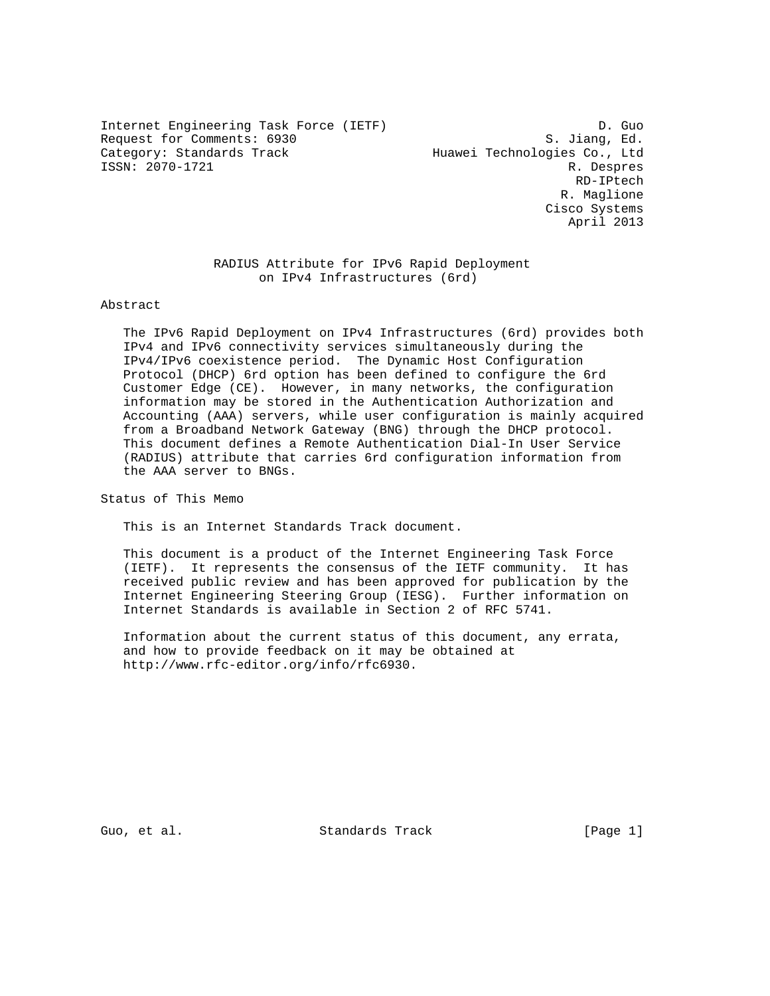Internet Engineering Task Force (IETF) D. Guo Request for Comments: 6930 S. Jiang, Ed.<br>Category: Standards Track Standards Huawei Technologies Co., Ltd ISSN: 2070-1721 R. Despres

Huawei Technologies Co., Ltd RD-IPtech R. Maglione Cisco Systems April 2013

## RADIUS Attribute for IPv6 Rapid Deployment on IPv4 Infrastructures (6rd)

### Abstract

 The IPv6 Rapid Deployment on IPv4 Infrastructures (6rd) provides both IPv4 and IPv6 connectivity services simultaneously during the IPv4/IPv6 coexistence period. The Dynamic Host Configuration Protocol (DHCP) 6rd option has been defined to configure the 6rd Customer Edge (CE). However, in many networks, the configuration information may be stored in the Authentication Authorization and Accounting (AAA) servers, while user configuration is mainly acquired from a Broadband Network Gateway (BNG) through the DHCP protocol. This document defines a Remote Authentication Dial-In User Service (RADIUS) attribute that carries 6rd configuration information from the AAA server to BNGs.

Status of This Memo

This is an Internet Standards Track document.

 This document is a product of the Internet Engineering Task Force (IETF). It represents the consensus of the IETF community. It has received public review and has been approved for publication by the Internet Engineering Steering Group (IESG). Further information on Internet Standards is available in Section 2 of RFC 5741.

 Information about the current status of this document, any errata, and how to provide feedback on it may be obtained at http://www.rfc-editor.org/info/rfc6930.

Guo, et al. Standards Track [Page 1]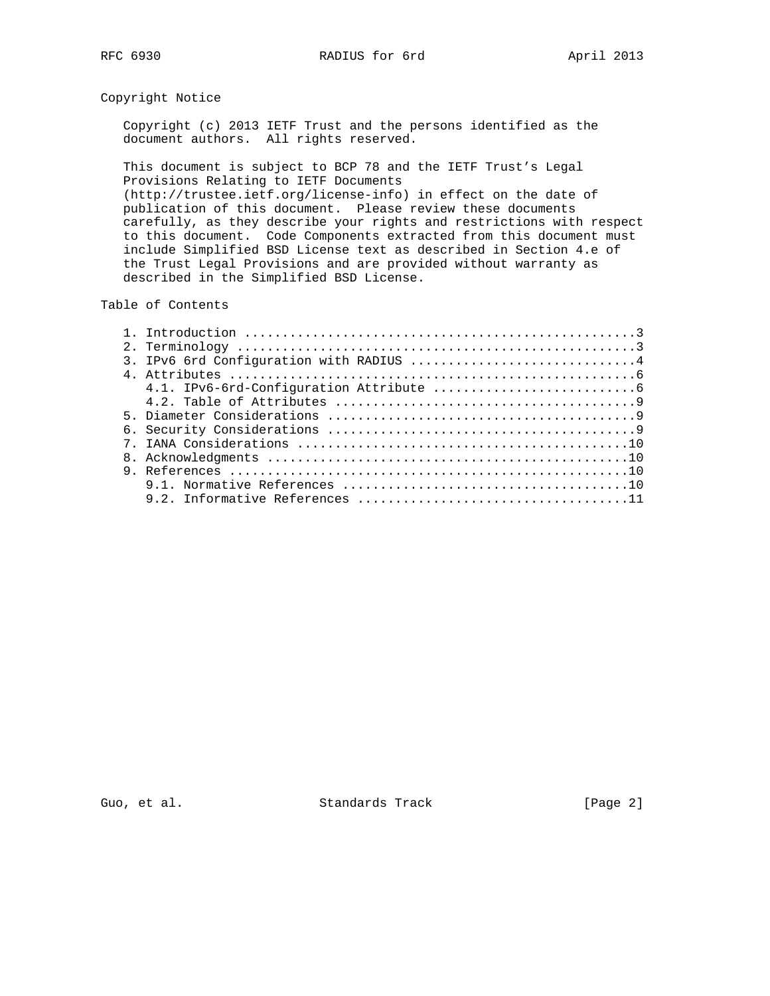## Copyright Notice

 Copyright (c) 2013 IETF Trust and the persons identified as the document authors. All rights reserved.

 This document is subject to BCP 78 and the IETF Trust's Legal Provisions Relating to IETF Documents (http://trustee.ietf.org/license-info) in effect on the date of publication of this document. Please review these documents carefully, as they describe your rights and restrictions with respect to this document. Code Components extracted from this document must include Simplified BSD License text as described in Section 4.e of the Trust Legal Provisions and are provided without warranty as described in the Simplified BSD License.

### Table of Contents

| IPv6 6rd Configuration with RADIUS 4 |
|--------------------------------------|
|                                      |
|                                      |
|                                      |
|                                      |
|                                      |
|                                      |
|                                      |
|                                      |
|                                      |
|                                      |

Guo, et al. Standards Track [Page 2]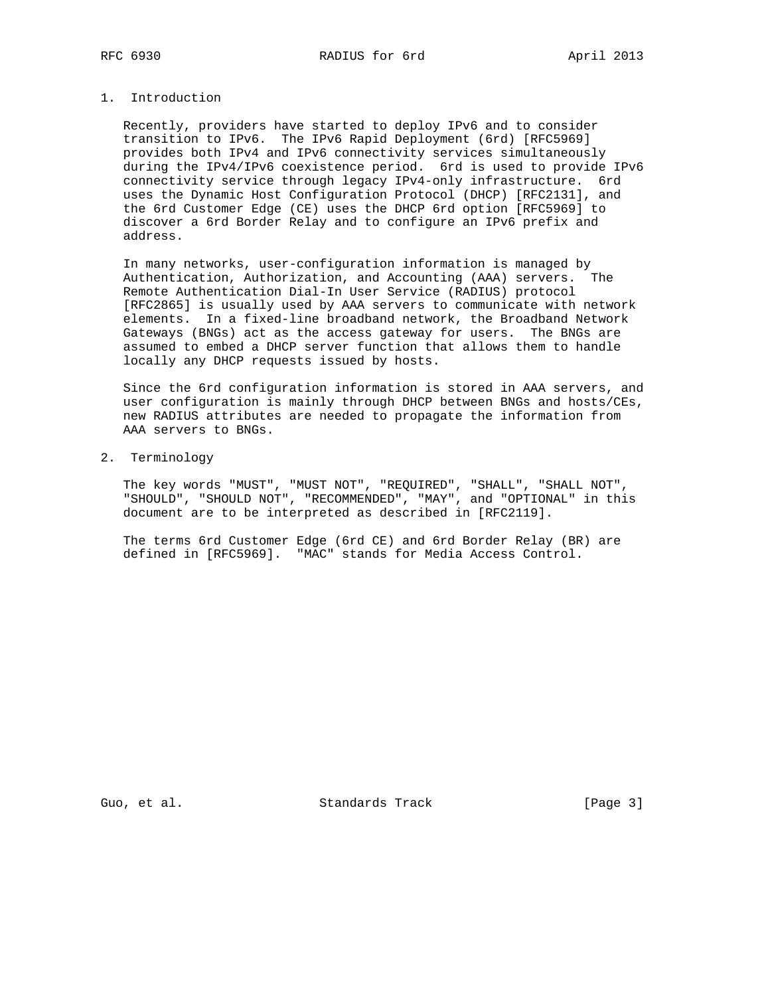# 1. Introduction

 Recently, providers have started to deploy IPv6 and to consider transition to IPv6. The IPv6 Rapid Deployment (6rd) [RFC5969] provides both IPv4 and IPv6 connectivity services simultaneously during the IPv4/IPv6 coexistence period. 6rd is used to provide IPv6 connectivity service through legacy IPv4-only infrastructure. 6rd uses the Dynamic Host Configuration Protocol (DHCP) [RFC2131], and the 6rd Customer Edge (CE) uses the DHCP 6rd option [RFC5969] to discover a 6rd Border Relay and to configure an IPv6 prefix and address.

 In many networks, user-configuration information is managed by Authentication, Authorization, and Accounting (AAA) servers. The Remote Authentication Dial-In User Service (RADIUS) protocol [RFC2865] is usually used by AAA servers to communicate with network elements. In a fixed-line broadband network, the Broadband Network Gateways (BNGs) act as the access gateway for users. The BNGs are assumed to embed a DHCP server function that allows them to handle locally any DHCP requests issued by hosts.

 Since the 6rd configuration information is stored in AAA servers, and user configuration is mainly through DHCP between BNGs and hosts/CEs, new RADIUS attributes are needed to propagate the information from AAA servers to BNGs.

2. Terminology

 The key words "MUST", "MUST NOT", "REQUIRED", "SHALL", "SHALL NOT", "SHOULD", "SHOULD NOT", "RECOMMENDED", "MAY", and "OPTIONAL" in this document are to be interpreted as described in [RFC2119].

 The terms 6rd Customer Edge (6rd CE) and 6rd Border Relay (BR) are defined in [RFC5969]. "MAC" stands for Media Access Control.

Guo, et al. Standards Track [Page 3]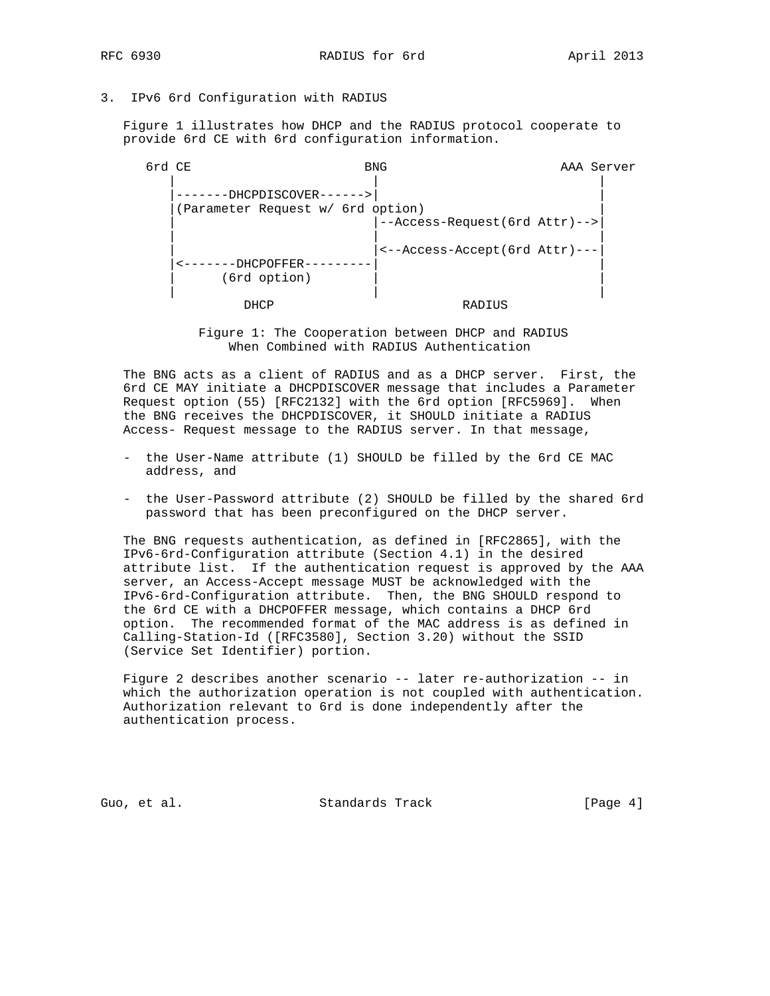# 3. IPv6 6rd Configuration with RADIUS

 Figure 1 illustrates how DHCP and the RADIUS protocol cooperate to provide 6rd CE with 6rd configuration information.

 6rd CE BNG AAA Server | | | |-------DHCPDISCOVER------>| | |(Parameter Request w/ 6rd option) | | |--Access-Request(6rd Attr)-->| | | | | |<--Access-Accept(6rd Attr)---| |<-------DHCPOFFER---------| | (6rd option) | | | DHCP RADIUS

> Figure 1: The Cooperation between DHCP and RADIUS When Combined with RADIUS Authentication

 The BNG acts as a client of RADIUS and as a DHCP server. First, the 6rd CE MAY initiate a DHCPDISCOVER message that includes a Parameter Request option (55) [RFC2132] with the 6rd option [RFC5969]. When the BNG receives the DHCPDISCOVER, it SHOULD initiate a RADIUS Access- Request message to the RADIUS server. In that message,

- the User-Name attribute (1) SHOULD be filled by the 6rd CE MAC address, and
- the User-Password attribute (2) SHOULD be filled by the shared 6rd password that has been preconfigured on the DHCP server.

 The BNG requests authentication, as defined in [RFC2865], with the IPv6-6rd-Configuration attribute (Section 4.1) in the desired attribute list. If the authentication request is approved by the AAA server, an Access-Accept message MUST be acknowledged with the IPv6-6rd-Configuration attribute. Then, the BNG SHOULD respond to the 6rd CE with a DHCPOFFER message, which contains a DHCP 6rd option. The recommended format of the MAC address is as defined in Calling-Station-Id ([RFC3580], Section 3.20) without the SSID (Service Set Identifier) portion.

 Figure 2 describes another scenario -- later re-authorization -- in which the authorization operation is not coupled with authentication. Authorization relevant to 6rd is done independently after the authentication process.

Guo, et al. Standards Track [Page 4]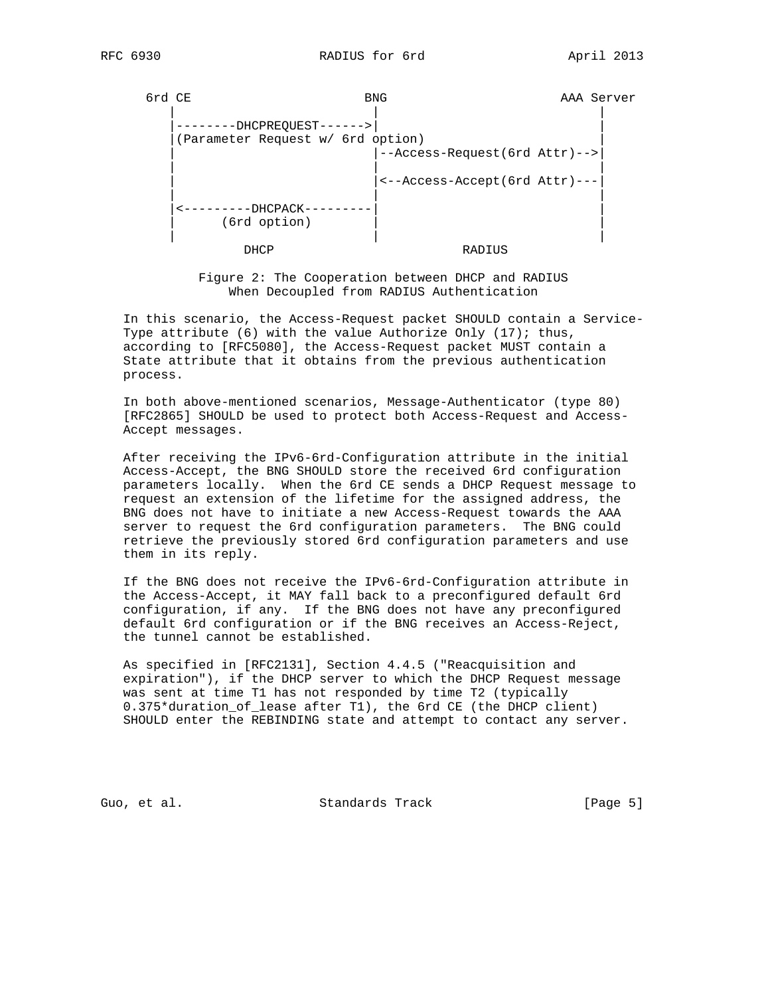| 6rd CE |                                      | <b>BNG</b>                    | AAA Server |
|--------|--------------------------------------|-------------------------------|------------|
|        |                                      |                               |            |
|        | --DHCPREQUEST------>                 |                               |            |
|        | (Parameter Request w/ 6rd option)    |                               |            |
|        |                                      | --Access-Request(6rd Attr)--> |            |
|        |                                      | <--Access-Accept(6rd Attr)--- |            |
|        | -------DHCPACK-<br>$(6rd$ option $)$ |                               |            |
|        | DHCP                                 | RADIUS                        |            |

 Figure 2: The Cooperation between DHCP and RADIUS When Decoupled from RADIUS Authentication

 In this scenario, the Access-Request packet SHOULD contain a Service- Type attribute  $(6)$  with the value Authorize Only  $(17)$ ; thus, according to [RFC5080], the Access-Request packet MUST contain a State attribute that it obtains from the previous authentication process.

 In both above-mentioned scenarios, Message-Authenticator (type 80) [RFC2865] SHOULD be used to protect both Access-Request and Access- Accept messages.

 After receiving the IPv6-6rd-Configuration attribute in the initial Access-Accept, the BNG SHOULD store the received 6rd configuration parameters locally. When the 6rd CE sends a DHCP Request message to request an extension of the lifetime for the assigned address, the BNG does not have to initiate a new Access-Request towards the AAA server to request the 6rd configuration parameters. The BNG could retrieve the previously stored 6rd configuration parameters and use them in its reply.

 If the BNG does not receive the IPv6-6rd-Configuration attribute in the Access-Accept, it MAY fall back to a preconfigured default 6rd configuration, if any. If the BNG does not have any preconfigured default 6rd configuration or if the BNG receives an Access-Reject, the tunnel cannot be established.

 As specified in [RFC2131], Section 4.4.5 ("Reacquisition and expiration"), if the DHCP server to which the DHCP Request message was sent at time T1 has not responded by time T2 (typically 0.375\*duration\_of\_lease after T1), the 6rd CE (the DHCP client) SHOULD enter the REBINDING state and attempt to contact any server.

Guo, et al. Standards Track [Page 5]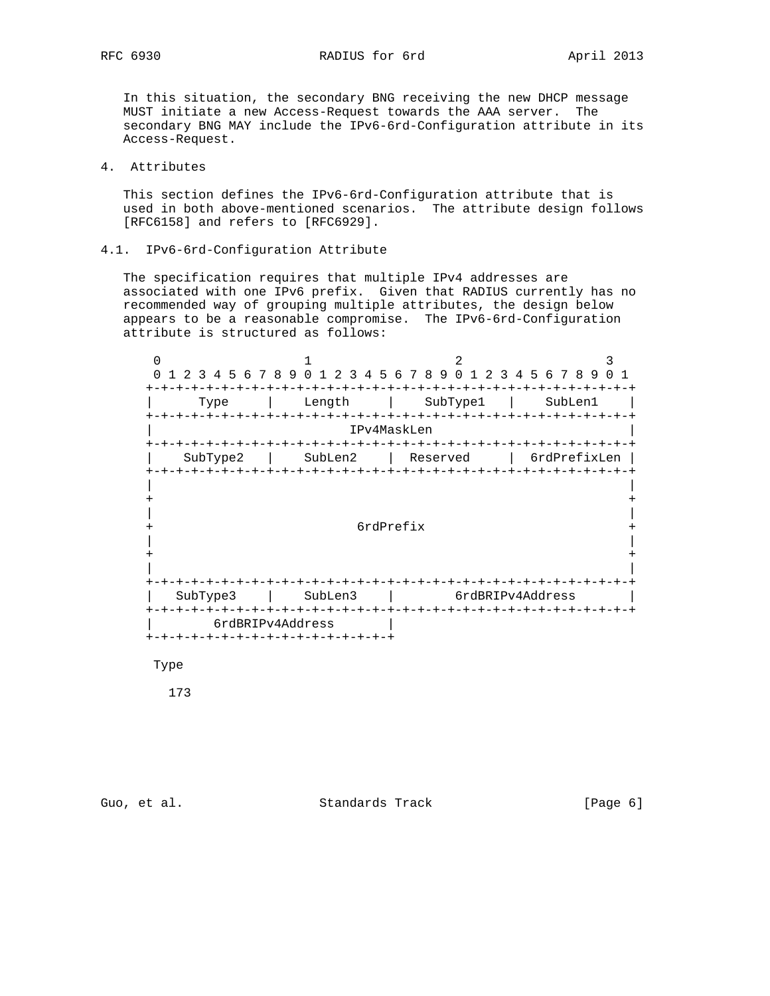RFC 6930 RADIUS for 6rd April 2013

 In this situation, the secondary BNG receiving the new DHCP message MUST initiate a new Access-Request towards the AAA server. The secondary BNG MAY include the IPv6-6rd-Configuration attribute in its Access-Request.

## 4. Attributes

 This section defines the IPv6-6rd-Configuration attribute that is used in both above-mentioned scenarios. The attribute design follows [RFC6158] and refers to [RFC6929].

4.1. IPv6-6rd-Configuration Attribute

 The specification requires that multiple IPv4 addresses are associated with one IPv6 prefix. Given that RADIUS currently has no recommended way of grouping multiple attributes, the design below appears to be a reasonable compromise. The IPv6-6rd-Configuration attribute is structured as follows:



Type

173

Guo, et al. Standards Track [Page 6]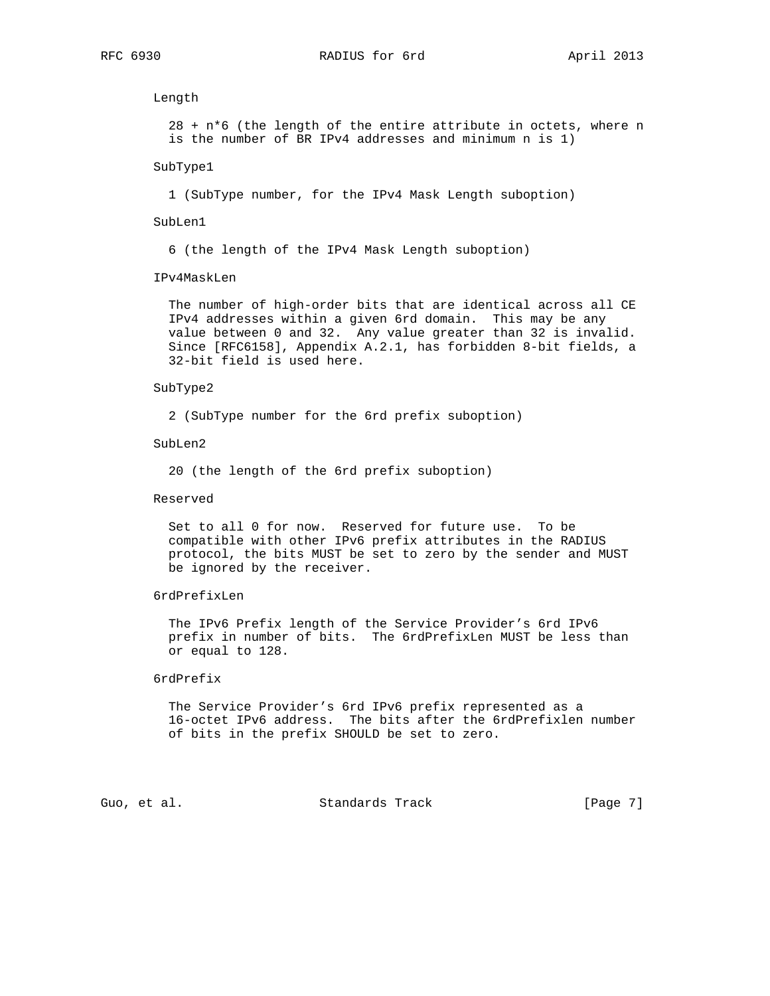Length

 $28 + n*6$  (the length of the entire attribute in octets, where n is the number of BR IPv4 addresses and minimum n is 1)

SubType1

1 (SubType number, for the IPv4 Mask Length suboption)

SubLen1

6 (the length of the IPv4 Mask Length suboption)

IPv4MaskLen

 The number of high-order bits that are identical across all CE IPv4 addresses within a given 6rd domain. This may be any value between 0 and 32. Any value greater than 32 is invalid. Since [RFC6158], Appendix A.2.1, has forbidden 8-bit fields, a 32-bit field is used here.

### SubType2

2 (SubType number for the 6rd prefix suboption)

SubLen2

20 (the length of the 6rd prefix suboption)

Reserved

 Set to all 0 for now. Reserved for future use. To be compatible with other IPv6 prefix attributes in the RADIUS protocol, the bits MUST be set to zero by the sender and MUST be ignored by the receiver.

#### 6rdPrefixLen

 The IPv6 Prefix length of the Service Provider's 6rd IPv6 prefix in number of bits. The 6rdPrefixLen MUST be less than or equal to 128.

### 6rdPrefix

 The Service Provider's 6rd IPv6 prefix represented as a 16-octet IPv6 address. The bits after the 6rdPrefixlen number of bits in the prefix SHOULD be set to zero.

Guo, et al. Standards Track [Page 7]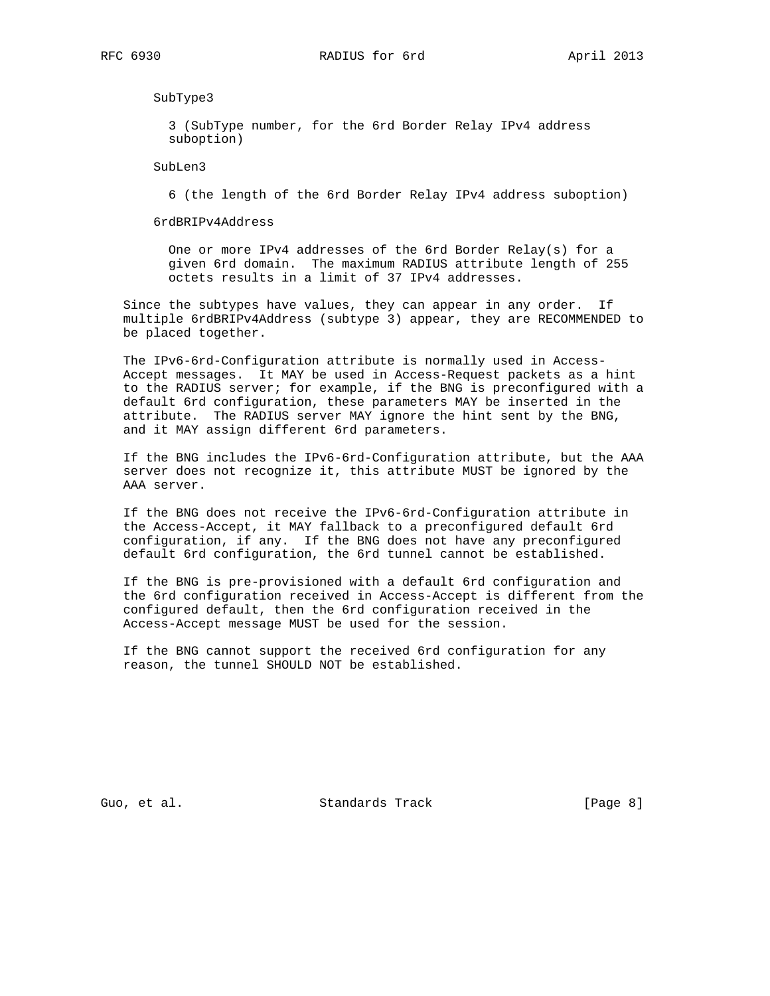SubType3

 3 (SubType number, for the 6rd Border Relay IPv4 address suboption)

SubLen3

6 (the length of the 6rd Border Relay IPv4 address suboption)

6rdBRIPv4Address

 One or more IPv4 addresses of the 6rd Border Relay(s) for a given 6rd domain. The maximum RADIUS attribute length of 255 octets results in a limit of 37 IPv4 addresses.

 Since the subtypes have values, they can appear in any order. If multiple 6rdBRIPv4Address (subtype 3) appear, they are RECOMMENDED to be placed together.

 The IPv6-6rd-Configuration attribute is normally used in Access- Accept messages. It MAY be used in Access-Request packets as a hint to the RADIUS server; for example, if the BNG is preconfigured with a default 6rd configuration, these parameters MAY be inserted in the attribute. The RADIUS server MAY ignore the hint sent by the BNG, and it MAY assign different 6rd parameters.

 If the BNG includes the IPv6-6rd-Configuration attribute, but the AAA server does not recognize it, this attribute MUST be ignored by the AAA server.

 If the BNG does not receive the IPv6-6rd-Configuration attribute in the Access-Accept, it MAY fallback to a preconfigured default 6rd configuration, if any. If the BNG does not have any preconfigured default 6rd configuration, the 6rd tunnel cannot be established.

 If the BNG is pre-provisioned with a default 6rd configuration and the 6rd configuration received in Access-Accept is different from the configured default, then the 6rd configuration received in the Access-Accept message MUST be used for the session.

 If the BNG cannot support the received 6rd configuration for any reason, the tunnel SHOULD NOT be established.

Guo, et al. Standards Track [Page 8]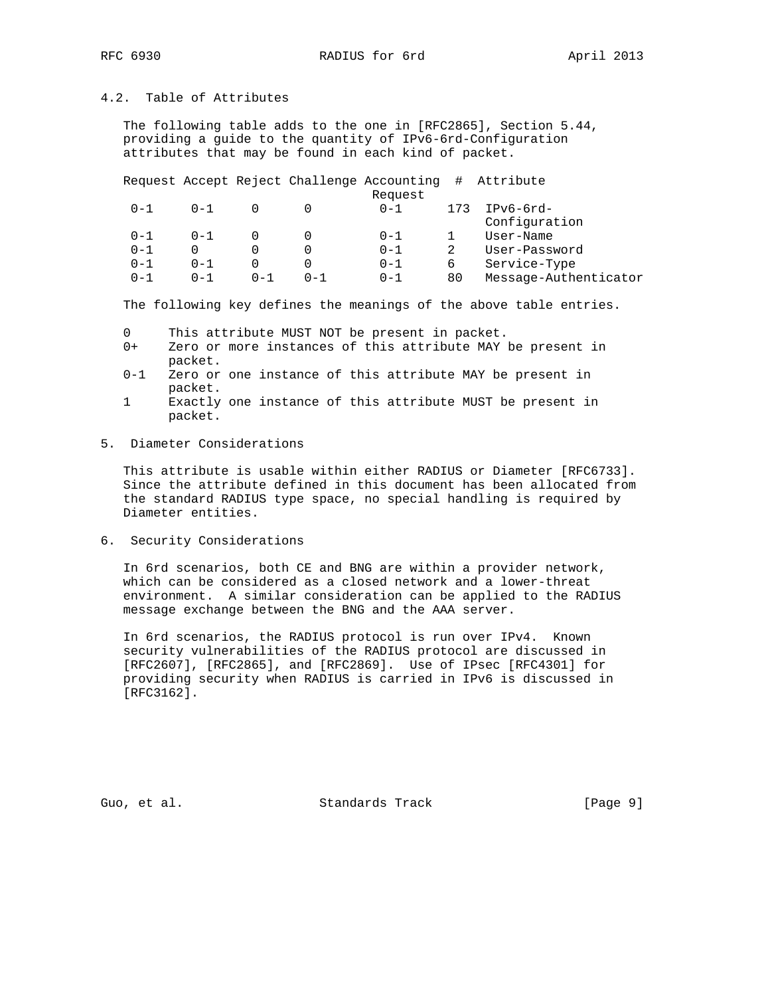# 4.2. Table of Attributes

 The following table adds to the one in [RFC2865], Section 5.44, providing a guide to the quantity of IPv6-6rd-Configuration attributes that may be found in each kind of packet.

Request Accept Reject Challenge Accounting # Attribute

|         |           |         |          | Request |     |                       |
|---------|-----------|---------|----------|---------|-----|-----------------------|
| $0 - 1$ | $0 - 1$   |         |          | $0 - 1$ | 173 | $IPv6-6rd-$           |
|         |           |         |          |         |     | Configuration         |
| $0 - 1$ | $0 - 1$   |         |          | $0 - 1$ |     | User-Name             |
| $0 - 1$ |           |         |          | $0 - 1$ |     | User-Password         |
| $0 - 1$ | N – 1     |         |          | $0 - 1$ | ь   | Service-Type          |
| $0 - 1$ | $(1 - 1)$ | $0 - 1$ | $() - 1$ | $0 - 1$ | 80  | Message-Authenticator |
|         |           |         |          |         |     |                       |

The following key defines the meanings of the above table entries.

- 0 This attribute MUST NOT be present in packet.
- 0+ Zero or more instances of this attribute MAY be present in packet.
- 0-1 Zero or one instance of this attribute MAY be present in packet.
- 1 Exactly one instance of this attribute MUST be present in packet.
- 5. Diameter Considerations

 This attribute is usable within either RADIUS or Diameter [RFC6733]. Since the attribute defined in this document has been allocated from the standard RADIUS type space, no special handling is required by Diameter entities.

6. Security Considerations

 In 6rd scenarios, both CE and BNG are within a provider network, which can be considered as a closed network and a lower-threat environment. A similar consideration can be applied to the RADIUS message exchange between the BNG and the AAA server.

 In 6rd scenarios, the RADIUS protocol is run over IPv4. Known security vulnerabilities of the RADIUS protocol are discussed in [RFC2607], [RFC2865], and [RFC2869]. Use of IPsec [RFC4301] for providing security when RADIUS is carried in IPv6 is discussed in [RFC3162].

Guo, et al. Standards Track [Page 9]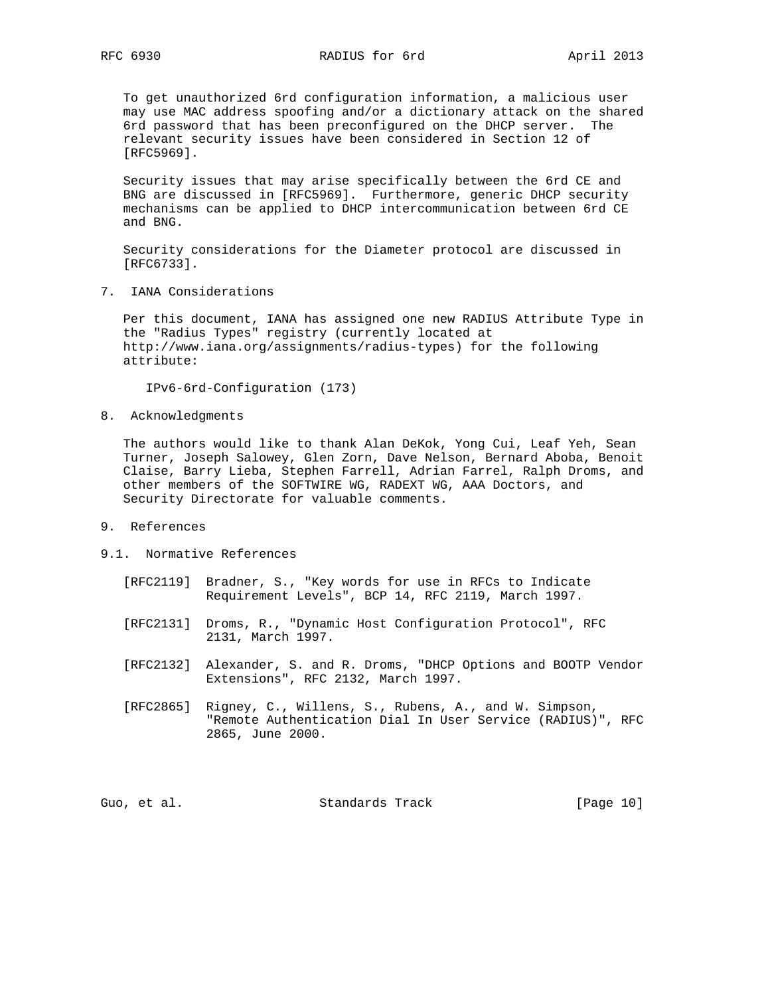To get unauthorized 6rd configuration information, a malicious user may use MAC address spoofing and/or a dictionary attack on the shared 6rd password that has been preconfigured on the DHCP server. The relevant security issues have been considered in Section 12 of [RFC5969].

 Security issues that may arise specifically between the 6rd CE and BNG are discussed in [RFC5969]. Furthermore, generic DHCP security mechanisms can be applied to DHCP intercommunication between 6rd CE and BNG.

 Security considerations for the Diameter protocol are discussed in [RFC6733].

7. IANA Considerations

 Per this document, IANA has assigned one new RADIUS Attribute Type in the "Radius Types" registry (currently located at http://www.iana.org/assignments/radius-types) for the following attribute:

IPv6-6rd-Configuration (173)

8. Acknowledgments

 The authors would like to thank Alan DeKok, Yong Cui, Leaf Yeh, Sean Turner, Joseph Salowey, Glen Zorn, Dave Nelson, Bernard Aboba, Benoit Claise, Barry Lieba, Stephen Farrell, Adrian Farrel, Ralph Droms, and other members of the SOFTWIRE WG, RADEXT WG, AAA Doctors, and Security Directorate for valuable comments.

- 9. References
- 9.1. Normative References
	- [RFC2119] Bradner, S., "Key words for use in RFCs to Indicate Requirement Levels", BCP 14, RFC 2119, March 1997.
	- [RFC2131] Droms, R., "Dynamic Host Configuration Protocol", RFC 2131, March 1997.
	- [RFC2132] Alexander, S. and R. Droms, "DHCP Options and BOOTP Vendor Extensions", RFC 2132, March 1997.
	- [RFC2865] Rigney, C., Willens, S., Rubens, A., and W. Simpson, "Remote Authentication Dial In User Service (RADIUS)", RFC 2865, June 2000.

Guo, et al. Standards Track [Page 10]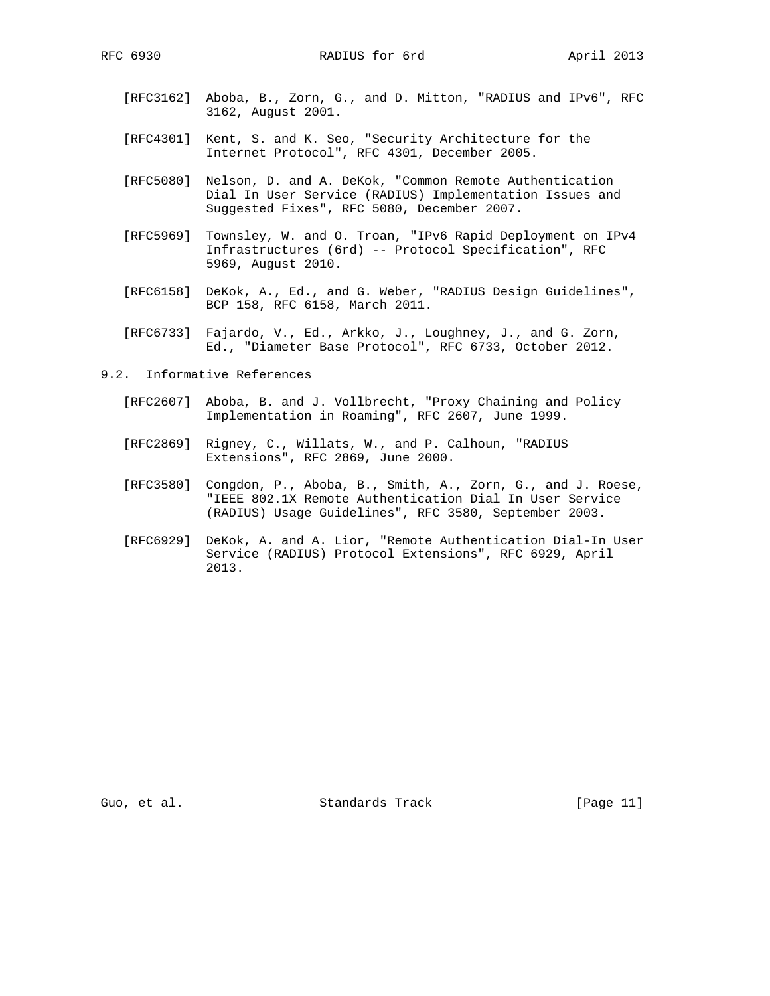- [RFC3162] Aboba, B., Zorn, G., and D. Mitton, "RADIUS and IPv6", RFC 3162, August 2001.
- [RFC4301] Kent, S. and K. Seo, "Security Architecture for the Internet Protocol", RFC 4301, December 2005.
- [RFC5080] Nelson, D. and A. DeKok, "Common Remote Authentication Dial In User Service (RADIUS) Implementation Issues and Suggested Fixes", RFC 5080, December 2007.
- [RFC5969] Townsley, W. and O. Troan, "IPv6 Rapid Deployment on IPv4 Infrastructures (6rd) -- Protocol Specification", RFC 5969, August 2010.
- [RFC6158] DeKok, A., Ed., and G. Weber, "RADIUS Design Guidelines", BCP 158, RFC 6158, March 2011.
- [RFC6733] Fajardo, V., Ed., Arkko, J., Loughney, J., and G. Zorn, Ed., "Diameter Base Protocol", RFC 6733, October 2012.
- 9.2. Informative References
	- [RFC2607] Aboba, B. and J. Vollbrecht, "Proxy Chaining and Policy Implementation in Roaming", RFC 2607, June 1999.
	- [RFC2869] Rigney, C., Willats, W., and P. Calhoun, "RADIUS Extensions", RFC 2869, June 2000.
	- [RFC3580] Congdon, P., Aboba, B., Smith, A., Zorn, G., and J. Roese, "IEEE 802.1X Remote Authentication Dial In User Service (RADIUS) Usage Guidelines", RFC 3580, September 2003.
	- [RFC6929] DeKok, A. and A. Lior, "Remote Authentication Dial-In User Service (RADIUS) Protocol Extensions", RFC 6929, April 2013.

Guo, et al. Standards Track [Page 11]